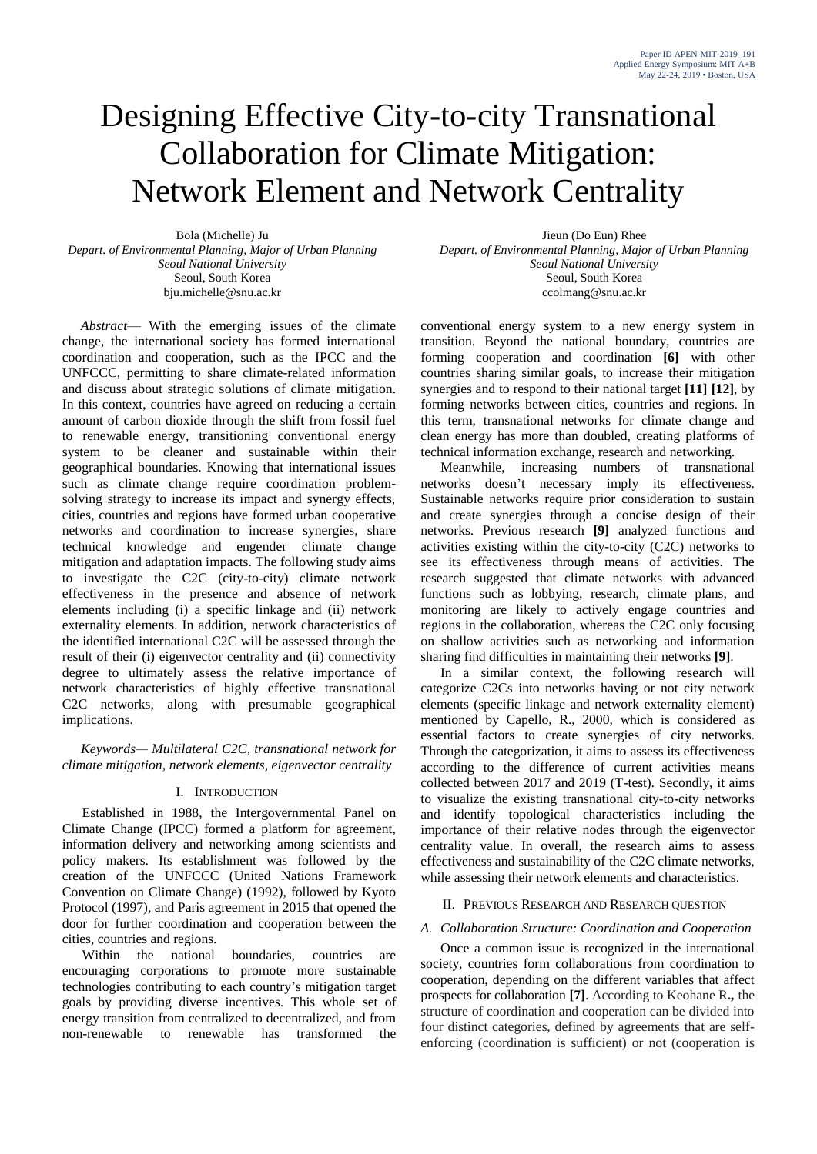# Designing Effective City-to-city Transnational Collaboration for Climate Mitigation: Network Element and Network Centrality

Bola (Michelle) Ju *Depart. of Environmental Planning, Major of Urban Planning Seoul National University* Seoul, South Korea bju.michelle@snu.ac.kr

*Abstract*— With the emerging issues of the climate change, the international society has formed international coordination and cooperation, such as the IPCC and the UNFCCC, permitting to share climate-related information and discuss about strategic solutions of climate mitigation. In this context, countries have agreed on reducing a certain amount of carbon dioxide through the shift from fossil fuel to renewable energy, transitioning conventional energy system to be cleaner and sustainable within their geographical boundaries. Knowing that international issues such as climate change require coordination problemsolving strategy to increase its impact and synergy effects, cities, countries and regions have formed urban cooperative networks and coordination to increase synergies, share technical knowledge and engender climate change mitigation and adaptation impacts. The following study aims to investigate the C2C (city-to-city) climate network effectiveness in the presence and absence of network elements including (i) a specific linkage and (ii) network externality elements. In addition, network characteristics of the identified international C2C will be assessed through the result of their (i) eigenvector centrality and (ii) connectivity degree to ultimately assess the relative importance of network characteristics of highly effective transnational C2C networks, along with presumable geographical implications.

*Keywords— Multilateral C2C, transnational network for climate mitigation, network elements, eigenvector centrality*

# I. INTRODUCTION

Established in 1988, the Intergovernmental Panel on Climate Change (IPCC) formed a platform for agreement, information delivery and networking among scientists and policy makers. Its establishment was followed by the creation of the UNFCCC (United Nations Framework Convention on Climate Change) (1992), followed by Kyoto Protocol (1997), and Paris agreement in 2015 that opened the door for further coordination and cooperation between the cities, countries and regions.

Within the national boundaries, countries are encouraging corporations to promote more sustainable technologies contributing to each country's mitigation target goals by providing diverse incentives. This whole set of energy transition from centralized to decentralized, and from non-renewable to renewable has transformed the

Jieun (Do Eun) Rhee *Depart. of Environmental Planning, Major of Urban Planning Seoul National University* Seoul, South Korea ccolmang@snu.ac.kr

conventional energy system to a new energy system in transition. Beyond the national boundary, countries are forming cooperation and coordination **[6]** with other countries sharing similar goals, to increase their mitigation synergies and to respond to their national target **[11] [12]**, by forming networks between cities, countries and regions. In this term, transnational networks for climate change and clean energy has more than doubled, creating platforms of technical information exchange, research and networking.

Meanwhile, increasing numbers of transnational networks doesn't necessary imply its effectiveness. Sustainable networks require prior consideration to sustain and create synergies through a concise design of their networks. Previous research **[9]** analyzed functions and activities existing within the city-to-city (C2C) networks to see its effectiveness through means of activities. The research suggested that climate networks with advanced functions such as lobbying, research, climate plans, and monitoring are likely to actively engage countries and regions in the collaboration, whereas the C2C only focusing on shallow activities such as networking and information sharing find difficulties in maintaining their networks **[9]**.

In a similar context, the following research will categorize C2Cs into networks having or not city network elements (specific linkage and network externality element) mentioned by Capello, R., 2000, which is considered as essential factors to create synergies of city networks. Through the categorization, it aims to assess its effectiveness according to the difference of current activities means collected between 2017 and 2019 (T-test). Secondly, it aims to visualize the existing transnational city-to-city networks and identify topological characteristics including the importance of their relative nodes through the eigenvector centrality value. In overall, the research aims to assess effectiveness and sustainability of the C2C climate networks, while assessing their network elements and characteristics.

#### II. PREVIOUS RESEARCH AND RESEARCH QUESTION

### *A. Collaboration Structure: Coordination and Cooperation*

Once a common issue is recognized in the international society, countries form collaborations from coordination to cooperation, depending on the different variables that affect prospects for collaboration **[7]**. According to Keohane R**.,** the structure of coordination and cooperation can be divided into four distinct categories, defined by agreements that are selfenforcing (coordination is sufficient) or not (cooperation is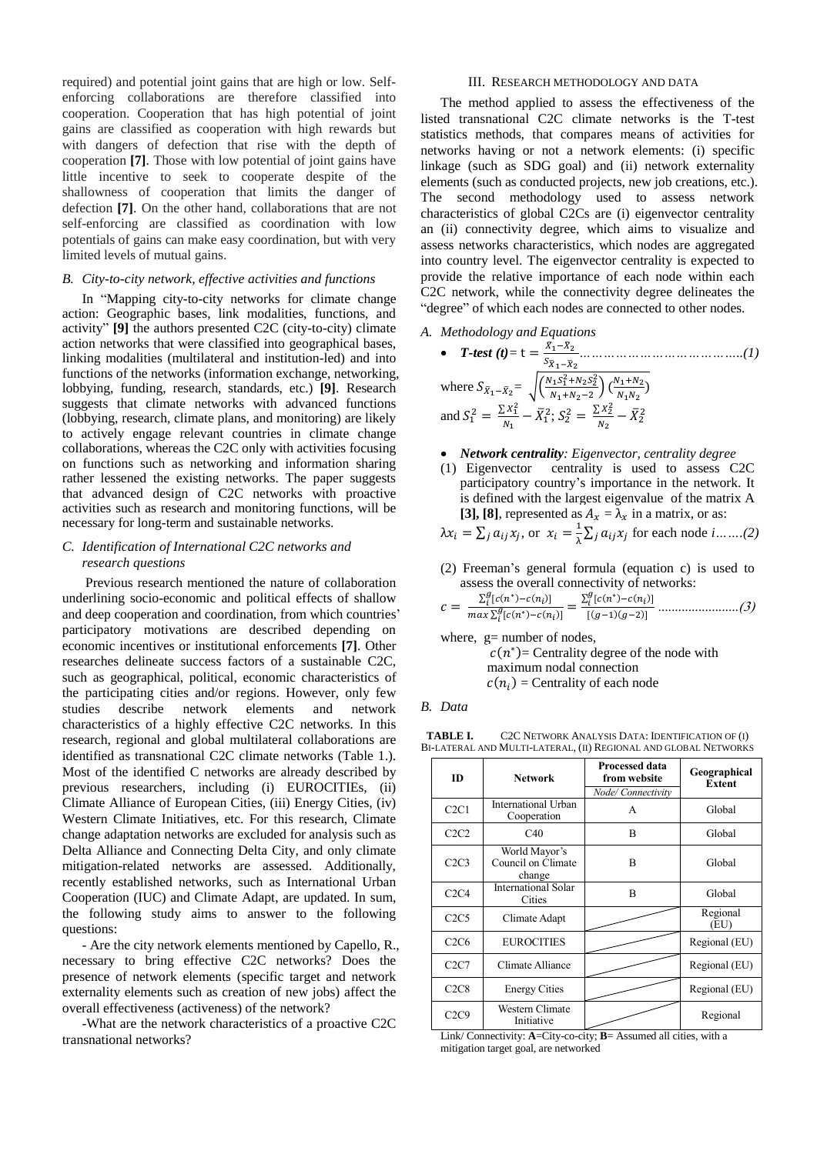required) and potential joint gains that are high or low. Selfenforcing collaborations are therefore classified into cooperation. Cooperation that has high potential of joint gains are classified as cooperation with high rewards but with dangers of defection that rise with the depth of cooperation **[7]**. Those with low potential of joint gains have little incentive to seek to cooperate despite of the shallowness of cooperation that limits the danger of defection **[7]**. On the other hand, collaborations that are not self-enforcing are classified as coordination with low potentials of gains can make easy coordination, but with very limited levels of mutual gains.

# *B. City-to-city network, effective activities and functions*

In "Mapping city-to-city networks for climate change action: Geographic bases, link modalities, functions, and activity" **[9]** the authors presented C2C (city-to-city) climate action networks that were classified into geographical bases, linking modalities (multilateral and institution-led) and into functions of the networks (information exchange, networking, lobbying, funding, research, standards, etc.) **[9]**. Research suggests that climate networks with advanced functions (lobbying, research, climate plans, and monitoring) are likely to actively engage relevant countries in climate change collaborations, whereas the C2C only with activities focusing on functions such as networking and information sharing rather lessened the existing networks. The paper suggests that advanced design of C2C networks with proactive activities such as research and monitoring functions, will be necessary for long-term and sustainable networks.

## *C. Identification of International C2C networks and research questions*

Previous research mentioned the nature of collaboration underlining socio-economic and political effects of shallow and deep cooperation and coordination, from which countries' participatory motivations are described depending on economic incentives or institutional enforcements **[7]**. Other researches delineate success factors of a sustainable C2C, such as geographical, political, economic characteristics of the participating cities and/or regions. However, only few studies describe network elements and network characteristics of a highly effective C2C networks. In this research, regional and global multilateral collaborations are identified as transnational C2C climate networks (Table 1.). Most of the identified C networks are already described by previous researchers, including (i) EUROCITIEs, (ii) Climate Alliance of European Cities, (iii) Energy Cities, (iv) Western Climate Initiatives, etc. For this research, Climate change adaptation networks are excluded for analysis such as Delta Alliance and Connecting Delta City, and only climate mitigation-related networks are assessed. Additionally, recently established networks, such as International Urban Cooperation (IUC) and Climate Adapt, are updated. In sum, the following study aims to answer to the following questions:

- Are the city network elements mentioned by Capello, R., necessary to bring effective C2C networks? Does the presence of network elements (specific target and network externality elements such as creation of new jobs) affect the overall effectiveness (activeness) of the network?

-What are the network characteristics of a proactive C2C transnational networks?

# III. RESEARCH METHODOLOGY AND DATA

The method applied to assess the effectiveness of the listed transnational C2C climate networks is the T-test statistics methods, that compares means of activities for networks having or not a network elements: (i) specific linkage (such as SDG goal) and (ii) network externality elements (such as conducted projects, new job creations, etc.). The second methodology used to assess network characteristics of global C2Cs are (i) eigenvector centrality an (ii) connectivity degree, which aims to visualize and assess networks characteristics, which nodes are aggregated into country level. The eigenvector centrality is expected to provide the relative importance of each node within each C2C network, while the connectivity degree delineates the "degree" of which each nodes are connected to other nodes.

*A. Methodology and Equations* 

• ***T-test*** (*t*) = t = 
$$
\frac{\bar{X}_1 - \bar{X}_2}{S_{\bar{X}_1 - \bar{X}_2}}
$$
.................(1)  
where  $S_{\bar{X}_1 - \bar{X}_2} = \sqrt{\left(\frac{N_1 S_1^2 + N_2 S_2^2}{N_1 + N_2 - 2}\right) \left(\frac{N_1 + N_2}{N_1 N_2}\right)}$   
and  $S_1^2 = \frac{\sum X_1^2}{N_1} - \bar{X}_1^2$ ;  $S_2^2 = \frac{\sum X_2^2}{N_2} - \bar{X}_2^2$ 

- *Network centrality: Eigenvector, centrality degree*
- (1) Eigenvector centrality is used to assess C2C participatory country's importance in the network. It is defined with the largest eigenvalue of the matrix A [3], [8], represented as  $A_x = \lambda_x$  in a matrix, or as:

$$
\lambda x_i = \sum_j a_{ij} x_j
$$
, or  $x_i = \frac{1}{\lambda} \sum_j a_{ij} x_j$  for each node *i*....(2)

(2) Freeman's general formula (equation c) is used to assess the overall connectivity of networks:

$$
c = \frac{\sum_{i}^{g} [c(n^{*}) - c(n_{i})]}{\max \sum_{i}^{g} [c(n^{*}) - c(n_{i})]} = \frac{\sum_{i}^{g} [c(n^{*}) - c(n_{i})]}{[(g-1)(g-2)]} \dots \dots \dots \dots \dots \dots \dots (3)
$$

where, g= number of nodes,  $c(n^*)$  Centrality degree of the node with maximum nodal connection  $c(n_i)$  = Centrality of each node

*B. Data* 

**TABLE I.** C2C NETWORK ANALYSIS DATA: IDENTIFICATION OF (I) BI-LATERAL AND MULTI-LATERAL, (II) REGIONAL AND GLOBAL NETWORKS

| ID   | <b>Network</b>                                | <b>Processed data</b><br>from website<br>Node/ Connectivity | Geographical<br><b>Extent</b> |  |
|------|-----------------------------------------------|-------------------------------------------------------------|-------------------------------|--|
| C2C1 | International Urban<br>Cooperation            | A                                                           | Global                        |  |
| C2C2 | C40                                           | $\overline{B}$                                              | Global                        |  |
| C2C3 | World Mayor's<br>Council on Climate<br>change | B                                                           | Global                        |  |
| C2C4 | <b>International Solar</b><br>Cities          | B                                                           | Global                        |  |
| C2C5 | Climate Adapt                                 |                                                             | Regional<br>(EU)              |  |
| C2C6 | <b>EUROCITIES</b>                             |                                                             | Regional (EU)                 |  |
| C2C7 | Climate Alliance                              |                                                             | Regional (EU)                 |  |
| C2C8 | <b>Energy Cities</b>                          |                                                             | Regional (EU)                 |  |
| C2C9 | Western Climate<br>Initiative                 |                                                             | Regional                      |  |

Link/ Connectivity: **A**=City-co-city; **B**= Assumed all cities, with a mitigation target goal, are networked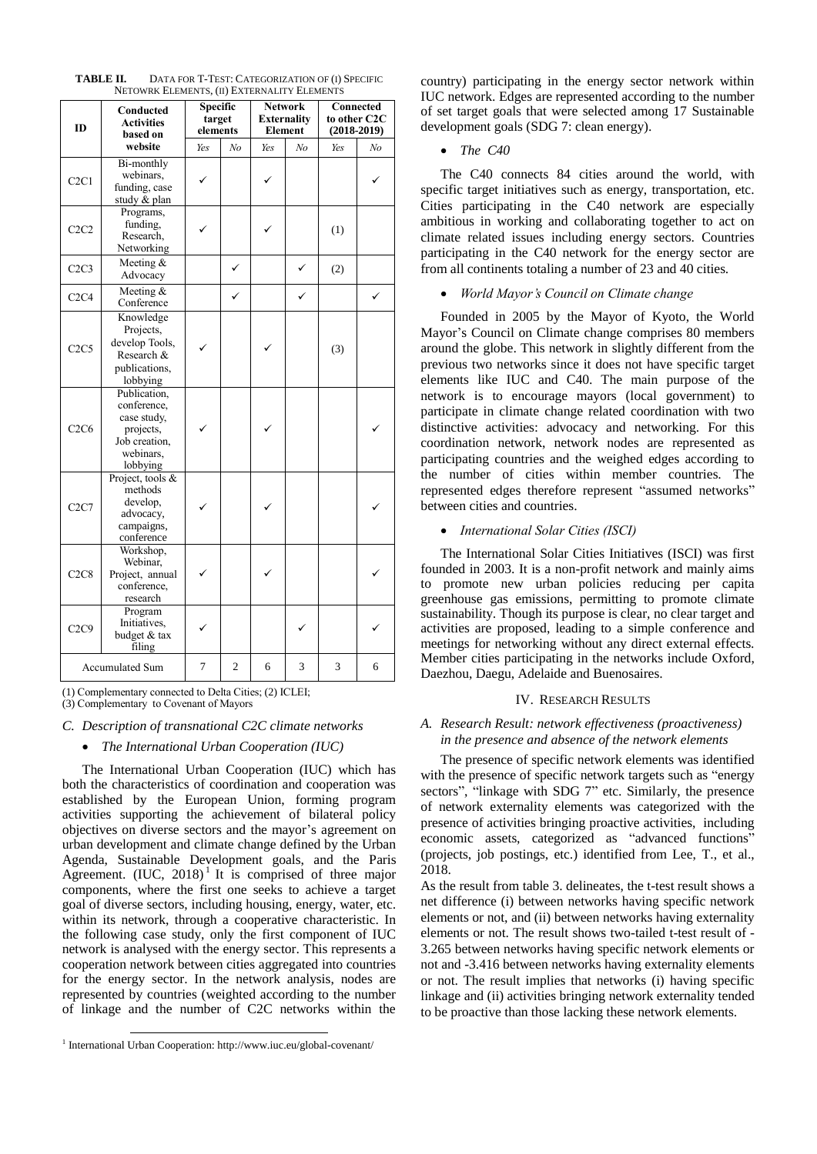| ID                            | Conducted<br><b>Activities</b><br>based on                                                        | Specific<br>target<br>elements |                | <b>Network</b><br><b>Externality</b><br><b>Element</b> |    | Connected<br>to other C2C<br>$(2018-2019)$ |    |
|-------------------------------|---------------------------------------------------------------------------------------------------|--------------------------------|----------------|--------------------------------------------------------|----|--------------------------------------------|----|
|                               | website                                                                                           | Yes                            | No             | Yes                                                    | No | Yes                                        | No |
| C2C1                          | Bi-monthly<br>webinars,<br>funding, case<br>study & plan                                          | ✓                              |                | ✓                                                      |    |                                            |    |
| C2C2                          | Programs,<br>funding,<br>Research.<br>Networking                                                  |                                |                |                                                        |    | (1)                                        |    |
| C2C3                          | Meeting $&$<br>Advocacy                                                                           |                                | ✓              |                                                        | ✓  | (2)                                        |    |
| C2C4                          | Meeting $&$<br>Conference                                                                         |                                | $\checkmark$   |                                                        | ✓  |                                            | ✓  |
| C <sub>2</sub> C <sub>5</sub> | Knowledge<br>Projects,<br>develop Tools,<br>Research &<br>publications,<br>lobbying               |                                |                |                                                        |    | (3)                                        |    |
| C2C6                          | Publication,<br>conference,<br>case study,<br>projects,<br>Job creation,<br>webinars,<br>lobbying |                                |                |                                                        |    |                                            |    |
| C2C7                          | Project, tools &<br>methods<br>develop,<br>advocacy,<br>campaigns,<br>conference                  |                                |                |                                                        |    |                                            |    |
| C2C8                          | Workshop,<br>Webinar,<br>Project, annual<br>conference,<br>research                               |                                |                |                                                        |    |                                            |    |
| C <sub>2</sub> C <sub>9</sub> | Program<br>Initiatives,<br>budget & tax<br>filing                                                 |                                |                |                                                        |    |                                            |    |
| Accumulated Sum               |                                                                                                   | 7                              | $\overline{2}$ | 6                                                      | 3  | 3                                          | 6  |

| TABLE II. | DATA FOR T-TEST: CATEGORIZATION OF (I) SPECIFIC |
|-----------|-------------------------------------------------|
|           | NETOWRK ELEMENTS, (II) EXTERNALITY ELEMENTS     |

(1) Complementary connected to Delta Cities; (2) ICLEI;

(3) Complementary to Covenant of Mayors

# *C. Description of transnational C2C climate networks*

# *The International Urban Cooperation (IUC)*

The International Urban Cooperation (IUC) which has both the characteristics of coordination and cooperation was established by the European Union, forming program activities supporting the achievement of bilateral policy objectives on diverse sectors and the mayor's agreement on urban development and climate change defined by the Urban Agenda, Sustainable Development goals, and the Paris Agreement.  $(IVC, 2018)^{1}$  It is comprised of three major components, where the first one seeks to achieve a target goal of diverse sectors, including housing, energy, water, etc. within its network, through a cooperative characteristic. In the following case study, only the first component of IUC network is analysed with the energy sector. This represents a cooperation network between cities aggregated into countries for the energy sector. In the network analysis, nodes are represented by countries (weighted according to the number of linkage and the number of C2C networks within the

l

country) participating in the energy sector network within IUC network. Edges are represented according to the number of set target goals that were selected among 17 Sustainable development goals (SDG 7: clean energy).

## *The C40*

The C40 connects 84 cities around the world, with specific target initiatives such as energy, transportation, etc. Cities participating in the C40 network are especially ambitious in working and collaborating together to act on climate related issues including energy sectors. Countries participating in the C40 network for the energy sector are from all continents totaling a number of 23 and 40 cities.

# *World Mayor's Council on Climate change*

Founded in 2005 by the Mayor of Kyoto, the World Mayor's Council on Climate change comprises 80 members around the globe. This network in slightly different from the previous two networks since it does not have specific target elements like IUC and C40. The main purpose of the network is to encourage mayors (local government) to participate in climate change related coordination with two distinctive activities: advocacy and networking. For this coordination network, network nodes are represented as participating countries and the weighed edges according to the number of cities within member countries. The represented edges therefore represent "assumed networks" between cities and countries.

# *International Solar Cities (ISCI)*

The International Solar Cities Initiatives (ISCI) was first founded in 2003. It is a non-profit network and mainly aims to promote new urban policies reducing per capita greenhouse gas emissions, permitting to promote climate sustainability. Though its purpose is clear, no clear target and activities are proposed, leading to a simple conference and meetings for networking without any direct external effects. Member cities participating in the networks include Oxford, Daezhou, Daegu, Adelaide and Buenosaires.

#### IV. RESEARCH RESULTS

# *A. Research Result: network effectiveness (proactiveness) in the presence and absence of the network elements*

The presence of specific network elements was identified with the presence of specific network targets such as "energy sectors", "linkage with SDG 7" etc. Similarly, the presence of network externality elements was categorized with the presence of activities bringing proactive activities, including economic assets, categorized as "advanced functions" (projects, job postings, etc.) identified from Lee, T., et al., 2018.

As the result from table 3. delineates, the t-test result shows a net difference (i) between networks having specific network elements or not, and (ii) between networks having externality elements or not. The result shows two-tailed t-test result of - 3.265 between networks having specific network elements or not and -3.416 between networks having externality elements or not. The result implies that networks (i) having specific linkage and (ii) activities bringing network externality tended to be proactive than those lacking these network elements.

<sup>&</sup>lt;sup>1</sup> International Urban Cooperation: http://www.iuc.eu/global-covenant/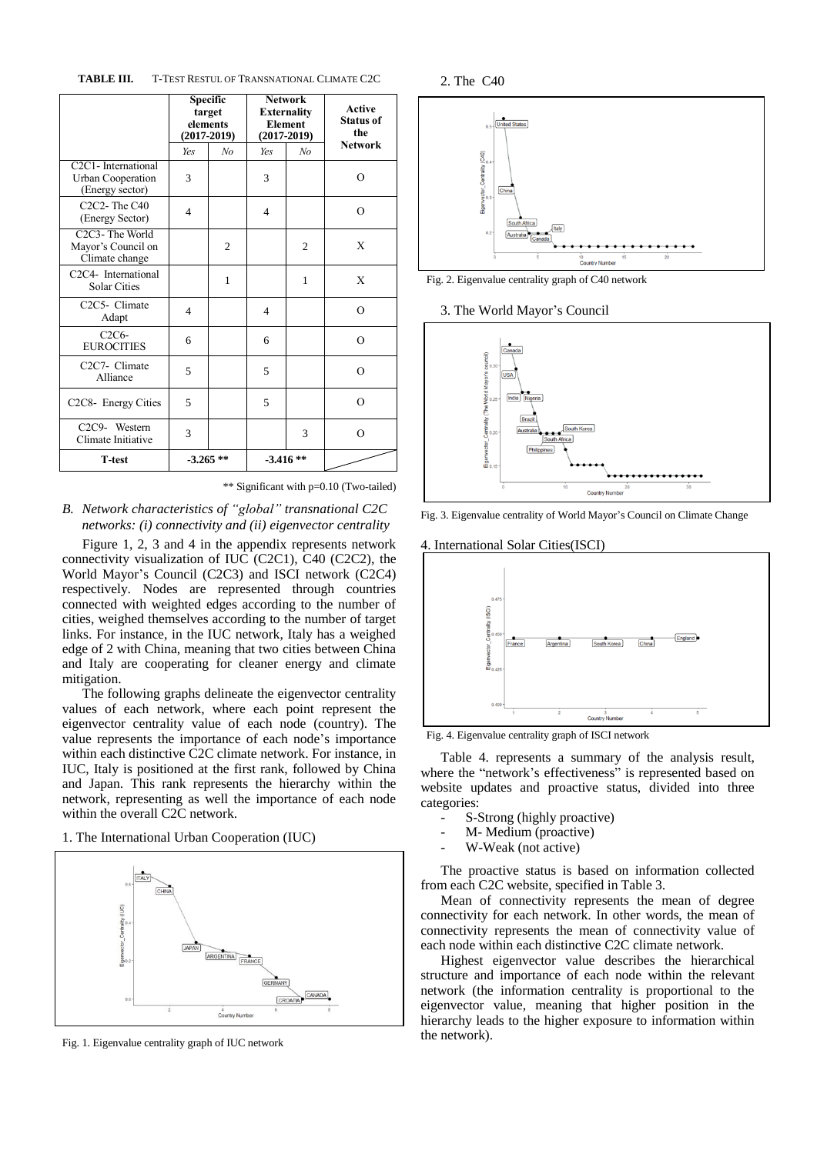**TABLE III.** T-TEST RESTUL OF TRANSNATIONAL CLIMATE C2C

|                                                                                              | <b>Specific</b><br>target<br>elements<br>$(2017 - 2019)$ |                | <b>Network</b><br><b>Externality</b><br><b>Element</b><br>$(2017 - 2019)$ |                | <b>Active</b><br><b>Status of</b><br>the |  |
|----------------------------------------------------------------------------------------------|----------------------------------------------------------|----------------|---------------------------------------------------------------------------|----------------|------------------------------------------|--|
|                                                                                              | Yes                                                      | No             | Yes                                                                       | No             | <b>Network</b>                           |  |
| C <sub>2</sub> C <sub>1</sub> - International<br><b>Urban Cooperation</b><br>(Energy sector) | 3                                                        |                | 3                                                                         |                | O                                        |  |
| $C2C2$ -The $C40$<br>(Energy Sector)                                                         | $\overline{4}$                                           |                | 4                                                                         |                | $\Omega$                                 |  |
| C <sub>2</sub> C <sub>3</sub> -The World<br>Mayor's Council on<br>Climate change             |                                                          | $\overline{c}$ |                                                                           | $\overline{c}$ | X                                        |  |
| C <sub>2</sub> C <sub>4</sub> - International<br><b>Solar Cities</b>                         |                                                          | $\mathbf{1}$   |                                                                           | 1              | X                                        |  |
| C <sub>2</sub> C <sub>5</sub> - Climate<br>Adapt                                             | 4                                                        |                | 4                                                                         |                | $\Omega$                                 |  |
| $C2C6-$<br><b>EUROCITIES</b>                                                                 | 6                                                        |                | 6                                                                         |                | $\Omega$                                 |  |
| C <sub>2</sub> C <sub>7</sub> - Climate<br>Alliance                                          | 5                                                        |                | 5                                                                         |                | $\Omega$                                 |  |
| C <sub>2</sub> C <sub>8</sub> - Energy Cities                                                | 5                                                        |                | 5                                                                         |                | $\Omega$                                 |  |
| C <sub>2</sub> C <sub>9</sub> - Western<br>Climate Initiative                                | 3                                                        |                |                                                                           | 3              | $\Omega$                                 |  |
| <b>T-test</b>                                                                                | $-3.265**$                                               |                | $-3.416**$                                                                |                |                                          |  |

\*\* Significant with p=0.10 (Two-tailed)

*B. Network characteristics of "global" transnational C2C networks: (i) connectivity and (ii) eigenvector centrality*

Figure 1, 2, 3 and 4 in the appendix represents network connectivity visualization of IUC (C2C1), C40 (C2C2), the World Mayor's Council (C2C3) and ISCI network (C2C4) respectively. Nodes are represented through countries connected with weighted edges according to the number of cities, weighed themselves according to the number of target links. For instance, in the IUC network, Italy has a weighed edge of 2 with China, meaning that two cities between China and Italy are cooperating for cleaner energy and climate mitigation.

The following graphs delineate the eigenvector centrality values of each network, where each point represent the eigenvector centrality value of each node (country). The value represents the importance of each node's importance within each distinctive C2C climate network. For instance, in IUC, Italy is positioned at the first rank, followed by China and Japan. This rank represents the hierarchy within the network, representing as well the importance of each node within the overall C2C network.

1. The International Urban Cooperation (IUC)



Fig. 1. Eigenvalue centrality graph of IUC network

2. The C40



Fig. 2. Eigenvalue centrality graph of C40 network

3. The World Mayor's Council



Fig. 3. Eigenvalue centrality of World Mayor's Council on Climate Change



Fig. 4. Eigenvalue centrality graph of ISCI network

Table 4. represents a summary of the analysis result, where the "network's effectiveness" is represented based on website updates and proactive status, divided into three categories:

- S-Strong (highly proactive)
- M- Medium (proactive)
- W-Weak (not active)

The proactive status is based on information collected from each C2C website, specified in Table 3.

Mean of connectivity represents the mean of degree connectivity for each network. In other words, the mean of connectivity represents the mean of connectivity value of each node within each distinctive C2C climate network.

Highest eigenvector value describes the hierarchical structure and importance of each node within the relevant network (the information centrality is proportional to the eigenvector value, meaning that higher position in the hierarchy leads to the higher exposure to information within the network).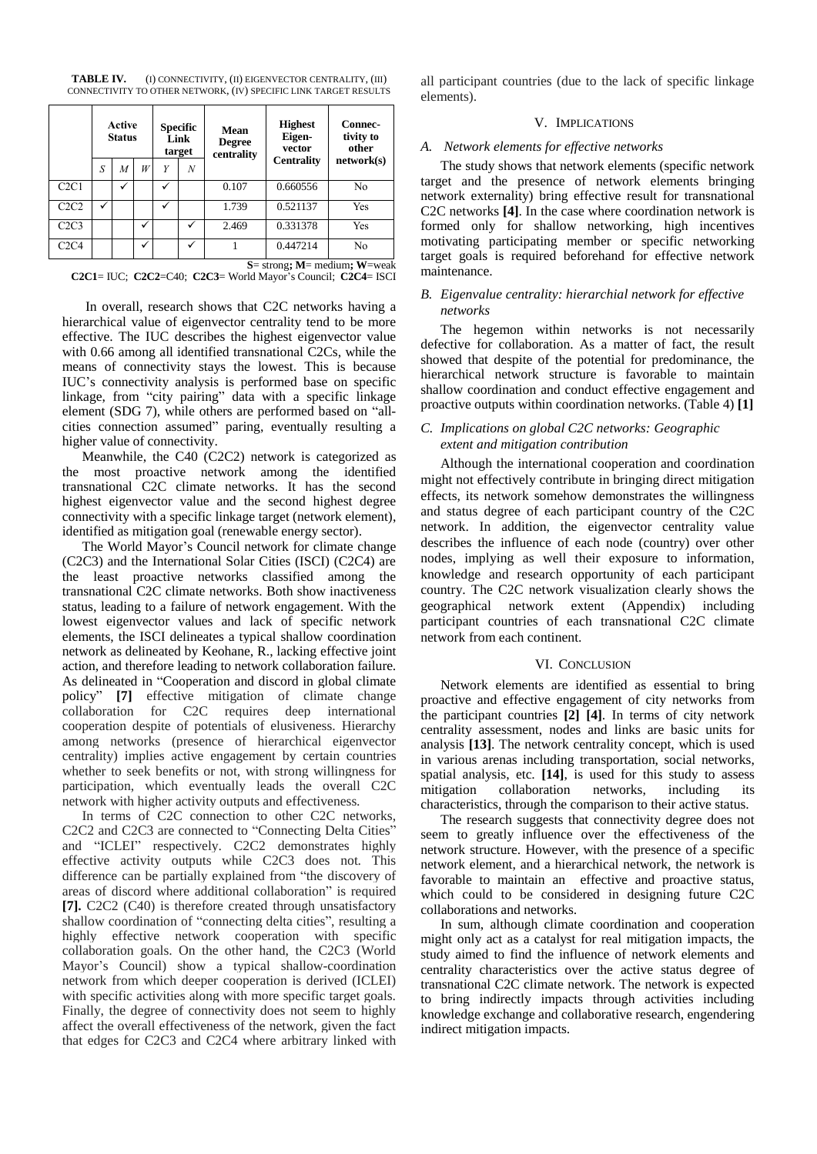**TABLE IV.** (I) CONNECTIVITY, (II) EIGENVECTOR CENTRALITY, (III) CONNECTIVITY TO OTHER NETWORK, (IV) SPECIFIC LINK TARGET RESULTS

|                                     | Active<br><b>Status</b> |   |   | <b>Specific</b><br>Link<br>target |   | Mean<br><b>Degree</b><br>centrality | <b>Highest</b><br>Eigen-<br>vector<br><b>Centrality</b> | Connec-<br>tivity to<br>other<br>network(s) |
|-------------------------------------|-------------------------|---|---|-----------------------------------|---|-------------------------------------|---------------------------------------------------------|---------------------------------------------|
|                                     | S                       | M | W | Y                                 | Ν |                                     |                                                         |                                             |
| C2C1                                |                         |   |   |                                   |   | 0.107                               | 0.660556                                                | No                                          |
| C2C2                                |                         |   |   | ✓                                 |   | 1.739                               | 0.521137                                                | Yes                                         |
| C2C3                                |                         |   |   |                                   | ✓ | 2.469                               | 0.331378                                                | Yes                                         |
| C2C4                                |                         |   |   |                                   | ✓ |                                     | 0.447214                                                | No                                          |
| $S=$ strong: $M=$ medium: $W=$ weak |                         |   |   |                                   |   |                                     |                                                         |                                             |

**C2C1**= IUC; **C2C2**=C40; **C2C3**= World Mayor's Council; **C2C4**= ISCI

In overall, research shows that C2C networks having a hierarchical value of eigenvector centrality tend to be more effective. The IUC describes the highest eigenvector value with 0.66 among all identified transnational C2Cs, while the means of connectivity stays the lowest. This is because IUC's connectivity analysis is performed base on specific linkage, from "city pairing" data with a specific linkage element (SDG 7), while others are performed based on "allcities connection assumed" paring, eventually resulting a higher value of connectivity.

Meanwhile, the C40 (C2C2) network is categorized as the most proactive network among the identified transnational C2C climate networks. It has the second highest eigenvector value and the second highest degree connectivity with a specific linkage target (network element), identified as mitigation goal (renewable energy sector).

The World Mayor's Council network for climate change (C2C3) and the International Solar Cities (ISCI) (C2C4) are the least proactive networks classified among the transnational C2C climate networks. Both show inactiveness status, leading to a failure of network engagement. With the lowest eigenvector values and lack of specific network elements, the ISCI delineates a typical shallow coordination network as delineated by Keohane, R., lacking effective joint action, and therefore leading to network collaboration failure. As delineated in "Cooperation and discord in global climate policy" **[7]** effective mitigation of climate change collaboration for C2C requires deep international cooperation despite of potentials of elusiveness. Hierarchy among networks (presence of hierarchical eigenvector centrality) implies active engagement by certain countries whether to seek benefits or not, with strong willingness for participation, which eventually leads the overall C2C network with higher activity outputs and effectiveness.

In terms of C2C connection to other C2C networks, C2C2 and C2C3 are connected to "Connecting Delta Cities" and "ICLEI" respectively. C2C2 demonstrates highly effective activity outputs while C2C3 does not. This difference can be partially explained from "the discovery of areas of discord where additional collaboration" is required **[7].** C2C2 (C40) is therefore created through unsatisfactory shallow coordination of "connecting delta cities", resulting a highly effective network cooperation with specific collaboration goals. On the other hand, the C2C3 (World Mayor's Council) show a typical shallow-coordination network from which deeper cooperation is derived (ICLEI) with specific activities along with more specific target goals. Finally, the degree of connectivity does not seem to highly affect the overall effectiveness of the network, given the fact that edges for C2C3 and C2C4 where arbitrary linked with

all participant countries (due to the lack of specific linkage elements).

# V. IMPLICATIONS

# *A. Network elements for effective networks*

The study shows that network elements (specific network target and the presence of network elements bringing network externality) bring effective result for transnational C2C networks **[4]**. In the case where coordination network is formed only for shallow networking, high incentives motivating participating member or specific networking target goals is required beforehand for effective network maintenance.

# *B. Eigenvalue centrality: hierarchial network for effective networks*

The hegemon within networks is not necessarily defective for collaboration. As a matter of fact, the result showed that despite of the potential for predominance, the hierarchical network structure is favorable to maintain shallow coordination and conduct effective engagement and proactive outputs within coordination networks. (Table 4) **[1]**

# *C. Implications on global C2C networks: Geographic extent and mitigation contribution*

Although the international cooperation and coordination might not effectively contribute in bringing direct mitigation effects, its network somehow demonstrates the willingness and status degree of each participant country of the C2C network. In addition, the eigenvector centrality value describes the influence of each node (country) over other nodes, implying as well their exposure to information, knowledge and research opportunity of each participant country. The C2C network visualization clearly shows the geographical network extent (Appendix) including participant countries of each transnational C2C climate network from each continent.

# VI. CONCLUSION

Network elements are identified as essential to bring proactive and effective engagement of city networks from the participant countries **[2] [4]**. In terms of city network centrality assessment, nodes and links are basic units for analysis **[13]**. The network centrality concept, which is used in various arenas including transportation, social networks, spatial analysis, etc. **[14]**, is used for this study to assess mitigation collaboration networks, including its characteristics, through the comparison to their active status.

The research suggests that connectivity degree does not seem to greatly influence over the effectiveness of the network structure. However, with the presence of a specific network element, and a hierarchical network, the network is favorable to maintain an effective and proactive status, which could to be considered in designing future C2C collaborations and networks.

In sum, although climate coordination and cooperation might only act as a catalyst for real mitigation impacts, the study aimed to find the influence of network elements and centrality characteristics over the active status degree of transnational C2C climate network. The network is expected to bring indirectly impacts through activities including knowledge exchange and collaborative research, engendering indirect mitigation impacts.